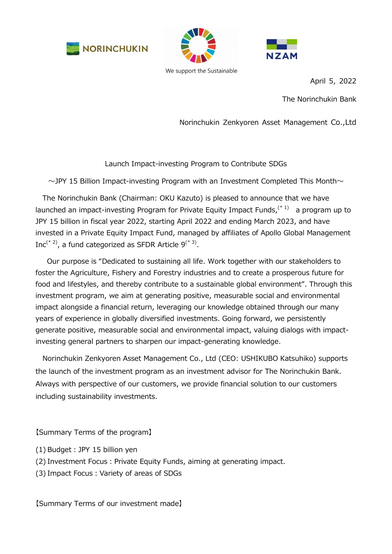





April 5, 2022

The Norinchukin Bank

Norinchukin Zenkyoren Asset Management Co.,Ltd

Launch Impact-investing Program to Contribute SDGs

 $\sim$  JPY 15 Billion Impact-investing Program with an Investment Completed This Month $\sim$ 

The Norinchukin Bank (Chairman: OKU Kazuto) is pleased to announce that we have launched an impact-investing Program for Private Equity Impact Funds,<sup>(\* 1)</sup> a program up to JPY 15 billion in fiscal year 2022, starting April 2022 and ending March 2023, and have invested in a Private Equity Impact Fund, managed by affiliates of Apollo Global Management Inc<sup>(\* 2)</sup>, a fund categorized as SFDR Article  $9^{(*3)}$ .

Our purpose is "Dedicated to sustaining all life. Work together with our stakeholders to foster the Agriculture, Fishery and Forestry industries and to create a prosperous future for food and lifestyles, and thereby contribute to a sustainable global environment". Through this investment program, we aim at generating positive, measurable social and environmental impact alongside a financial return, leveraging our knowledge obtained through our many years of experience in globally diversified investments. Going forward, we persistently generate positive, measurable social and environmental impact, valuing dialogs with impactinvesting general partners to sharpen our impact-generating knowledge.

Norinchukin Zenkyoren Asset Management Co., Ltd (CEO: USHIKUBO Katsuhiko) supports the launch of the investment program as an investment advisor for The Norinchukin Bank. Always with perspective of our customers, we provide financial solution to our customers including sustainability investments.

【Summary Terms of the program】

- (1) Budget︓JPY 15 billion yen
- (2) Investment Focus: Private Equity Funds, aiming at generating impact.
- (3) Impact Focus: Variety of areas of SDGs

【Summary Terms of our investment made】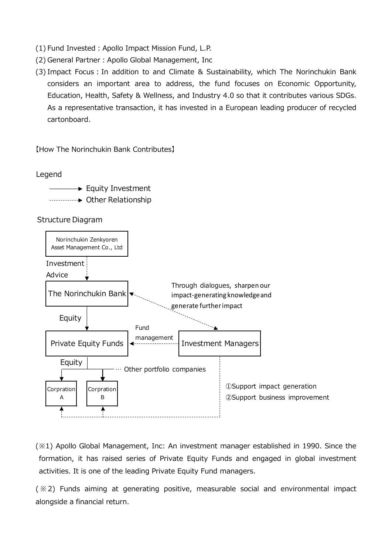- (1) Fund Invested : Apollo Impact Mission Fund, L.P.
- (2) General Partner: Apollo Global Management, Inc
- (3) Impact Focus : In addition to and Climate & Sustainability, which The Norinchukin Bank considers an important area to address, the fund focuses on Economic Opportunity, Education, Health, Safety & Wellness, and Industry 4.0 so that it contributes various SDGs. As a representative transaction, it has invested in a European leading producer of recycled cartonboard.

【How The Norinchukin Bank Contributes】

Legend

 $\rightarrow$  Equity Investment Other Relationship

Structure Diagram



(※1) Apollo Global Management, Inc: An investment manager established in 1990. Since the formation, it has raised series of Private Equity Funds and engaged in global investment activities. It is one of the leading Private Equity Fund managers.

( ※2) Funds aiming at generating positive, measurable social and environmental impact alongside a financial return.